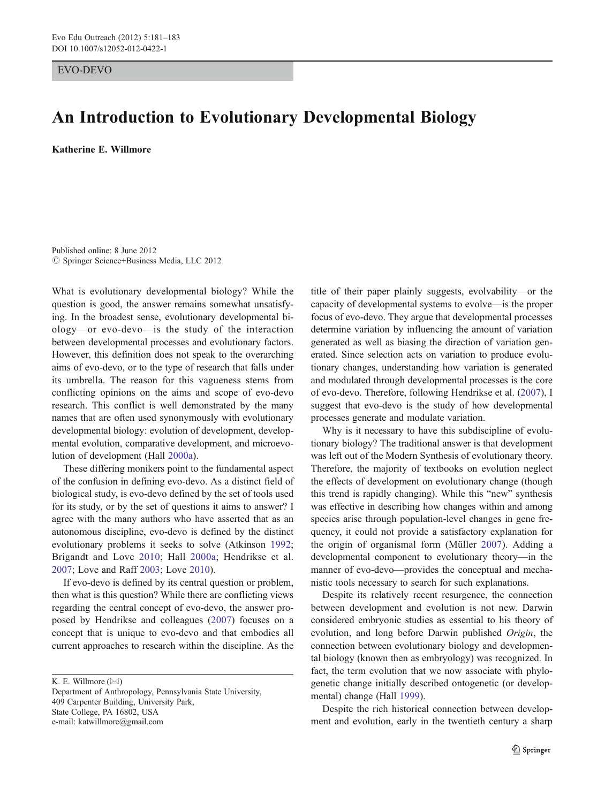EVO-DEVO

## An Introduction to Evolutionary Developmental Biology

Katherine E. Willmore

Published online: 8 June 2012  $©$  Springer Science+Business Media, LLC 2012

What is evolutionary developmental biology? While the question is good, the answer remains somewhat unsatisfying. In the broadest sense, evolutionary developmental biology—or evo-devo—is the study of the interaction between developmental processes and evolutionary factors. However, this definition does not speak to the overarching aims of evo-devo, or to the type of research that falls under its umbrella. The reason for this vagueness stems from conflicting opinions on the aims and scope of evo-devo research. This conflict is well demonstrated by the many names that are often used synonymously with evolutionary developmental biology: evolution of development, developmental evolution, comparative development, and microevolution of development (Hall [2000a\)](#page-2-0).

These differing monikers point to the fundamental aspect of the confusion in defining evo-devo. As a distinct field of biological study, is evo-devo defined by the set of tools used for its study, or by the set of questions it aims to answer? I agree with the many authors who have asserted that as an autonomous discipline, evo-devo is defined by the distinct evolutionary problems it seeks to solve (Atkinson [1992](#page-2-0); Brigandt and Love [2010;](#page-2-0) Hall [2000a;](#page-2-0) Hendrikse et al. [2007;](#page-2-0) Love and Raff [2003;](#page-2-0) Love [2010\)](#page-2-0).

If evo-devo is defined by its central question or problem, then what is this question? While there are conflicting views regarding the central concept of evo-devo, the answer proposed by Hendrikse and colleagues ([2007\)](#page-2-0) focuses on a concept that is unique to evo-devo and that embodies all current approaches to research within the discipline. As the

K. E. Willmore  $(\boxtimes)$ 

Department of Anthropology, Pennsylvania State University, 409 Carpenter Building, University Park, State College, PA 16802, USA e-mail: katwillmore@gmail.com

title of their paper plainly suggests, evolvability—or the capacity of developmental systems to evolve—is the proper focus of evo-devo. They argue that developmental processes determine variation by influencing the amount of variation generated as well as biasing the direction of variation generated. Since selection acts on variation to produce evolutionary changes, understanding how variation is generated and modulated through developmental processes is the core of evo-devo. Therefore, following Hendrikse et al. ([2007\)](#page-2-0), I suggest that evo-devo is the study of how developmental processes generate and modulate variation.

Why is it necessary to have this subdiscipline of evolutionary biology? The traditional answer is that development was left out of the Modern Synthesis of evolutionary theory. Therefore, the majority of textbooks on evolution neglect the effects of development on evolutionary change (though this trend is rapidly changing). While this "new" synthesis was effective in describing how changes within and among species arise through population-level changes in gene frequency, it could not provide a satisfactory explanation for the origin of organismal form (Müller [2007](#page-2-0)). Adding a developmental component to evolutionary theory—in the manner of evo-devo—provides the conceptual and mechanistic tools necessary to search for such explanations.

Despite its relatively recent resurgence, the connection between development and evolution is not new. Darwin considered embryonic studies as essential to his theory of evolution, and long before Darwin published Origin, the connection between evolutionary biology and developmental biology (known then as embryology) was recognized. In fact, the term evolution that we now associate with phylogenetic change initially described ontogenetic (or developmental) change (Hall [1999](#page-2-0)).

Despite the rich historical connection between development and evolution, early in the twentieth century a sharp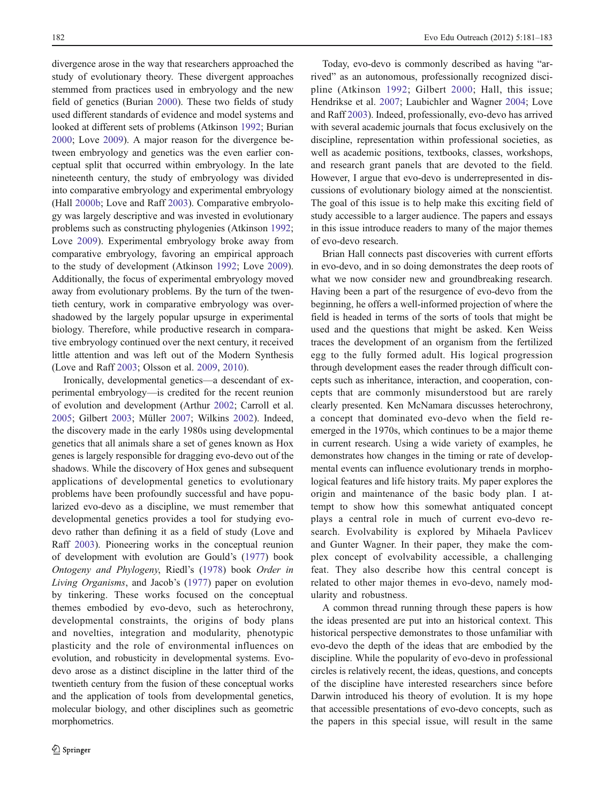divergence arose in the way that researchers approached the study of evolutionary theory. These divergent approaches stemmed from practices used in embryology and the new field of genetics (Burian [2000\)](#page-2-0). These two fields of study used different standards of evidence and model systems and looked at different sets of problems (Atkinson [1992;](#page-2-0) Burian [2000;](#page-2-0) Love [2009\)](#page-2-0). A major reason for the divergence between embryology and genetics was the even earlier conceptual split that occurred within embryology. In the late nineteenth century, the study of embryology was divided into comparative embryology and experimental embryology (Hall [2000b](#page-2-0); Love and Raff [2003](#page-2-0)). Comparative embryology was largely descriptive and was invested in evolutionary problems such as constructing phylogenies (Atkinson [1992](#page-2-0); Love [2009](#page-2-0)). Experimental embryology broke away from comparative embryology, favoring an empirical approach to the study of development (Atkinson [1992](#page-2-0); Love [2009](#page-2-0)). Additionally, the focus of experimental embryology moved away from evolutionary problems. By the turn of the twentieth century, work in comparative embryology was overshadowed by the largely popular upsurge in experimental biology. Therefore, while productive research in comparative embryology continued over the next century, it received little attention and was left out of the Modern Synthesis (Love and Raff [2003](#page-2-0); Olsson et al. [2009](#page-2-0), [2010\)](#page-2-0).

Ironically, developmental genetics—a descendant of experimental embryology—is credited for the recent reunion of evolution and development (Arthur [2002;](#page-2-0) Carroll et al. [2005;](#page-2-0) Gilbert [2003;](#page-2-0) Müller [2007;](#page-2-0) Wilkins [2002\)](#page-2-0). Indeed, the discovery made in the early 1980s using developmental genetics that all animals share a set of genes known as Hox genes is largely responsible for dragging evo-devo out of the shadows. While the discovery of Hox genes and subsequent applications of developmental genetics to evolutionary problems have been profoundly successful and have popularized evo-devo as a discipline, we must remember that developmental genetics provides a tool for studying evodevo rather than defining it as a field of study (Love and Raff [2003](#page-2-0)). Pioneering works in the conceptual reunion of development with evolution are Gould's [\(1977](#page-2-0)) book Ontogeny and Phylogeny, Riedl's [\(1978](#page-2-0)) book Order in Living Organisms, and Jacob's ([1977\)](#page-2-0) paper on evolution by tinkering. These works focused on the conceptual themes embodied by evo-devo, such as heterochrony, developmental constraints, the origins of body plans and novelties, integration and modularity, phenotypic plasticity and the role of environmental influences on evolution, and robusticity in developmental systems. Evodevo arose as a distinct discipline in the latter third of the twentieth century from the fusion of these conceptual works and the application of tools from developmental genetics, molecular biology, and other disciplines such as geometric morphometrics.

Today, evo-devo is commonly described as having "arrived" as an autonomous, professionally recognized discipline (Atkinson [1992](#page-2-0); Gilbert [2000;](#page-2-0) Hall, this issue; Hendrikse et al. [2007;](#page-2-0) Laubichler and Wagner [2004;](#page-2-0) Love and Raff [2003](#page-2-0)). Indeed, professionally, evo-devo has arrived with several academic journals that focus exclusively on the discipline, representation within professional societies, as well as academic positions, textbooks, classes, workshops, and research grant panels that are devoted to the field. However, I argue that evo-devo is underrepresented in discussions of evolutionary biology aimed at the nonscientist. The goal of this issue is to help make this exciting field of study accessible to a larger audience. The papers and essays in this issue introduce readers to many of the major themes of evo-devo research.

Brian Hall connects past discoveries with current efforts in evo-devo, and in so doing demonstrates the deep roots of what we now consider new and groundbreaking research. Having been a part of the resurgence of evo-devo from the beginning, he offers a well-informed projection of where the field is headed in terms of the sorts of tools that might be used and the questions that might be asked. Ken Weiss traces the development of an organism from the fertilized egg to the fully formed adult. His logical progression through development eases the reader through difficult concepts such as inheritance, interaction, and cooperation, concepts that are commonly misunderstood but are rarely clearly presented. Ken McNamara discusses heterochrony, a concept that dominated evo-devo when the field reemerged in the 1970s, which continues to be a major theme in current research. Using a wide variety of examples, he demonstrates how changes in the timing or rate of developmental events can influence evolutionary trends in morphological features and life history traits. My paper explores the origin and maintenance of the basic body plan. I attempt to show how this somewhat antiquated concept plays a central role in much of current evo-devo research. Evolvability is explored by Mihaela Pavlicev and Gunter Wagner. In their paper, they make the complex concept of evolvability accessible, a challenging feat. They also describe how this central concept is related to other major themes in evo-devo, namely modularity and robustness.

A common thread running through these papers is how the ideas presented are put into an historical context. This historical perspective demonstrates to those unfamiliar with evo-devo the depth of the ideas that are embodied by the discipline. While the popularity of evo-devo in professional circles is relatively recent, the ideas, questions, and concepts of the discipline have interested researchers since before Darwin introduced his theory of evolution. It is my hope that accessible presentations of evo-devo concepts, such as the papers in this special issue, will result in the same